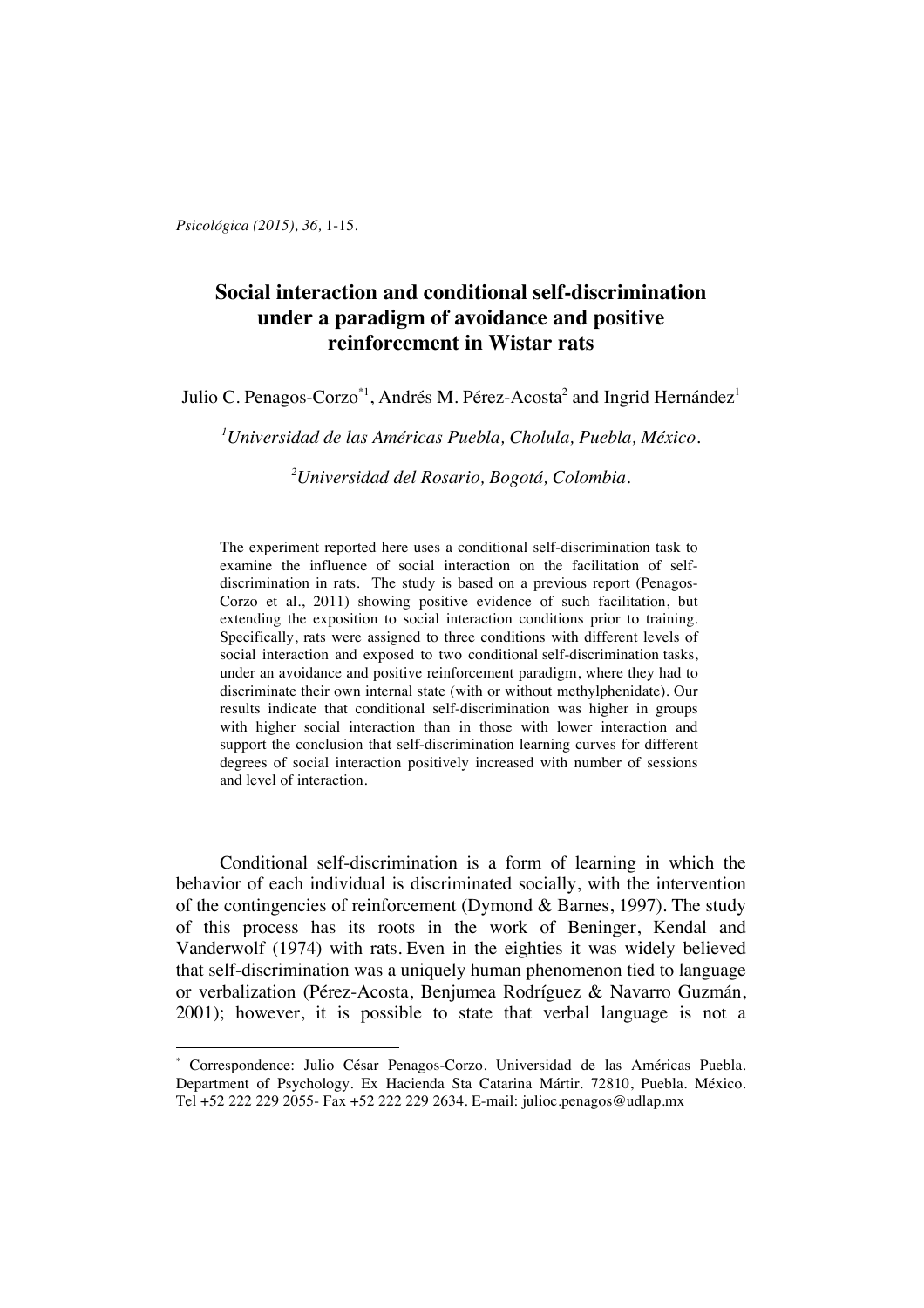*Psicológica (2015), 36,* 1-15.

 $\overline{a}$ 

# **Social interaction and conditional self-discrimination under a paradigm of avoidance and positive reinforcement in Wistar rats**

Julio C. Penagos-Corzo $^{\ast1}$ , Andrés M. Pérez-Acosta $^2$  and Ingrid Hernández $^1$ 

*1 Universidad de las Américas Puebla, Cholula, Puebla, México.*

*2 Universidad del Rosario, Bogotá, Colombia.*

The experiment reported here uses a conditional self-discrimination task to examine the influence of social interaction on the facilitation of selfdiscrimination in rats. The study is based on a previous report (Penagos-Corzo et al., 2011) showing positive evidence of such facilitation, but extending the exposition to social interaction conditions prior to training. Specifically, rats were assigned to three conditions with different levels of social interaction and exposed to two conditional self-discrimination tasks, under an avoidance and positive reinforcement paradigm, where they had to discriminate their own internal state (with or without methylphenidate). Our results indicate that conditional self-discrimination was higher in groups with higher social interaction than in those with lower interaction and support the conclusion that self-discrimination learning curves for different degrees of social interaction positively increased with number of sessions and level of interaction.

Conditional self-discrimination is a form of learning in which the behavior of each individual is discriminated socially, with the intervention of the contingencies of reinforcement (Dymond & Barnes, 1997). The study of this process has its roots in the work of Beninger, Kendal and Vanderwolf (1974) with rats. Even in the eighties it was widely believed that self-discrimination was a uniquely human phenomenon tied to language or verbalization (Pérez-Acosta, Benjumea Rodríguez & Navarro Guzmán, 2001); however, it is possible to state that verbal language is not a

<sup>\*</sup> Correspondence: Julio César Penagos-Corzo. Universidad de las Américas Puebla. Department of Psychology. Ex Hacienda Sta Catarina Mártir. 72810, Puebla. México. Tel +52 222 229 2055- Fax +52 222 229 2634. E-mail: julioc.penagos@udlap.mx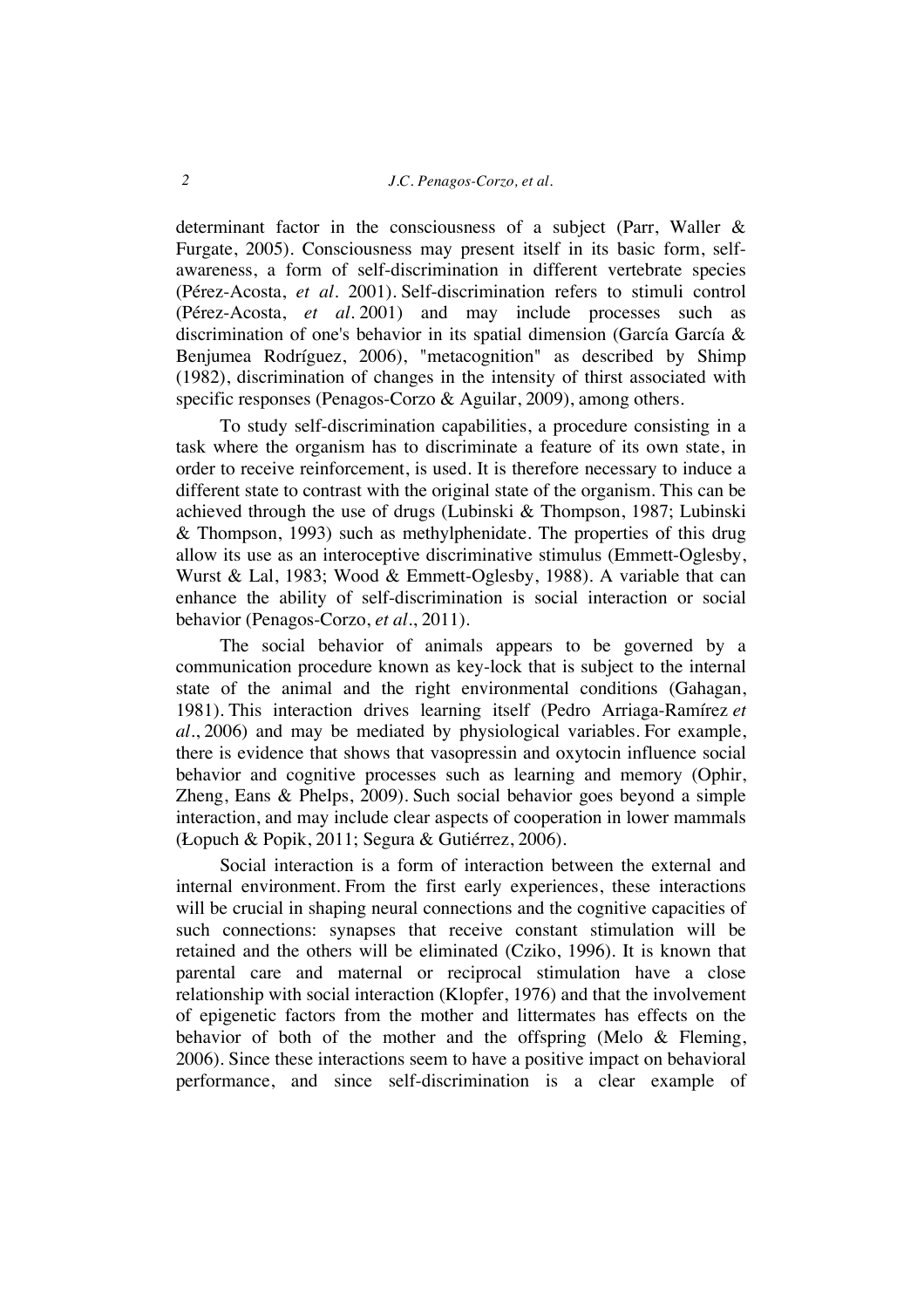determinant factor in the consciousness of a subject (Parr, Waller & Furgate, 2005). Consciousness may present itself in its basic form, selfawareness, a form of self-discrimination in different vertebrate species (Pérez-Acosta, *et al.* 2001). Self-discrimination refers to stimuli control (Pérez-Acosta, *et al.* 2001) and may include processes such as discrimination of one's behavior in its spatial dimension (García García & Benjumea Rodríguez, 2006), "metacognition" as described by Shimp (1982), discrimination of changes in the intensity of thirst associated with specific responses (Penagos-Corzo & Aguilar, 2009), among others.

To study self-discrimination capabilities, a procedure consisting in a task where the organism has to discriminate a feature of its own state, in order to receive reinforcement, is used. It is therefore necessary to induce a different state to contrast with the original state of the organism. This can be achieved through the use of drugs (Lubinski & Thompson, 1987; Lubinski & Thompson, 1993) such as methylphenidate. The properties of this drug allow its use as an interoceptive discriminative stimulus (Emmett-Oglesby, Wurst & Lal, 1983; Wood & Emmett-Oglesby, 1988). A variable that can enhance the ability of self-discrimination is social interaction or social behavior (Penagos-Corzo, *et al*., 2011).

The social behavior of animals appears to be governed by a communication procedure known as key-lock that is subject to the internal state of the animal and the right environmental conditions (Gahagan, 1981). This interaction drives learning itself (Pedro Arriaga-Ramírez *et al.*, 2006) and may be mediated by physiological variables. For example, there is evidence that shows that vasopressin and oxytocin influence social behavior and cognitive processes such as learning and memory (Ophir, Zheng, Eans & Phelps, 2009). Such social behavior goes beyond a simple interaction, and may include clear aspects of cooperation in lower mammals (Łopuch & Popik, 2011; Segura & Gutiérrez, 2006).

Social interaction is a form of interaction between the external and internal environment. From the first early experiences, these interactions will be crucial in shaping neural connections and the cognitive capacities of such connections: synapses that receive constant stimulation will be retained and the others will be eliminated (Cziko, 1996). It is known that parental care and maternal or reciprocal stimulation have a close relationship with social interaction (Klopfer, 1976) and that the involvement of epigenetic factors from the mother and littermates has effects on the behavior of both of the mother and the offspring (Melo & Fleming, 2006). Since these interactions seem to have a positive impact on behavioral performance, and since self-discrimination is a clear example of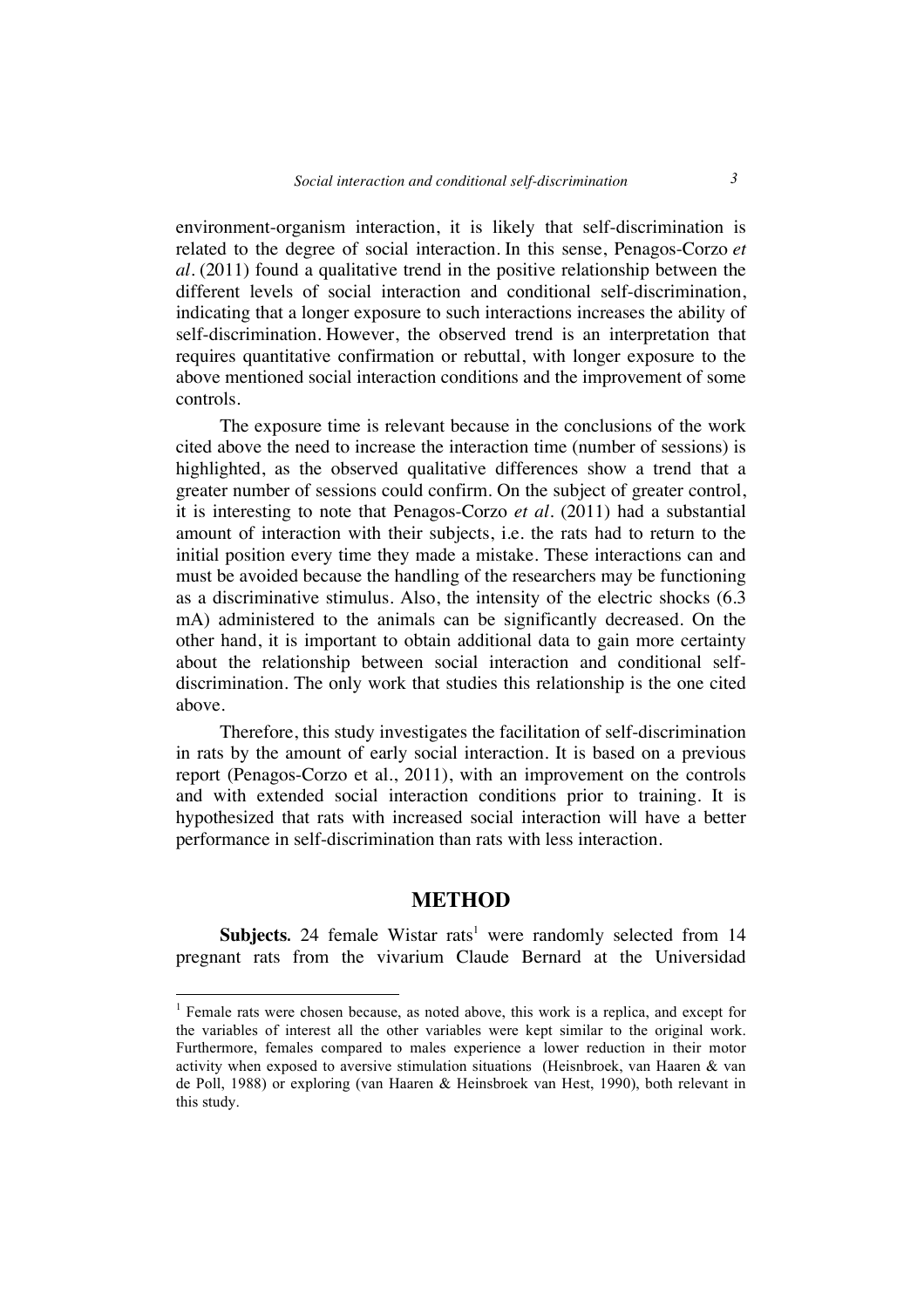environment-organism interaction, it is likely that self-discrimination is related to the degree of social interaction. In this sense, Penagos-Corzo *et al.* (2011) found a qualitative trend in the positive relationship between the different levels of social interaction and conditional self-discrimination, indicating that a longer exposure to such interactions increases the ability of self-discrimination. However, the observed trend is an interpretation that requires quantitative confirmation or rebuttal, with longer exposure to the above mentioned social interaction conditions and the improvement of some controls.

The exposure time is relevant because in the conclusions of the work cited above the need to increase the interaction time (number of sessions) is highlighted, as the observed qualitative differences show a trend that a greater number of sessions could confirm. On the subject of greater control, it is interesting to note that Penagos-Corzo *et al.* (2011) had a substantial amount of interaction with their subjects, i.e. the rats had to return to the initial position every time they made a mistake. These interactions can and must be avoided because the handling of the researchers may be functioning as a discriminative stimulus. Also, the intensity of the electric shocks (6.3 mA) administered to the animals can be significantly decreased. On the other hand, it is important to obtain additional data to gain more certainty about the relationship between social interaction and conditional selfdiscrimination. The only work that studies this relationship is the one cited above.

Therefore, this study investigates the facilitation of self-discrimination in rats by the amount of early social interaction. It is based on a previous report (Penagos-Corzo et al., 2011), with an improvement on the controls and with extended social interaction conditions prior to training. It is hypothesized that rats with increased social interaction will have a better performance in self-discrimination than rats with less interaction.

## **METHOD**

**Subjects.** 24 female Wistar rats<sup>1</sup> were randomly selected from 14 pregnant rats from the vivarium Claude Bernard at the Universidad

<sup>&</sup>lt;sup>1</sup> Female rats were chosen because, as noted above, this work is a replica, and except for the variables of interest all the other variables were kept similar to the original work. Furthermore, females compared to males experience a lower reduction in their motor activity when exposed to aversive stimulation situations (Heisnbroek, van Haaren & van de Poll, 1988) or exploring (van Haaren & Heinsbroek van Hest, 1990), both relevant in this study.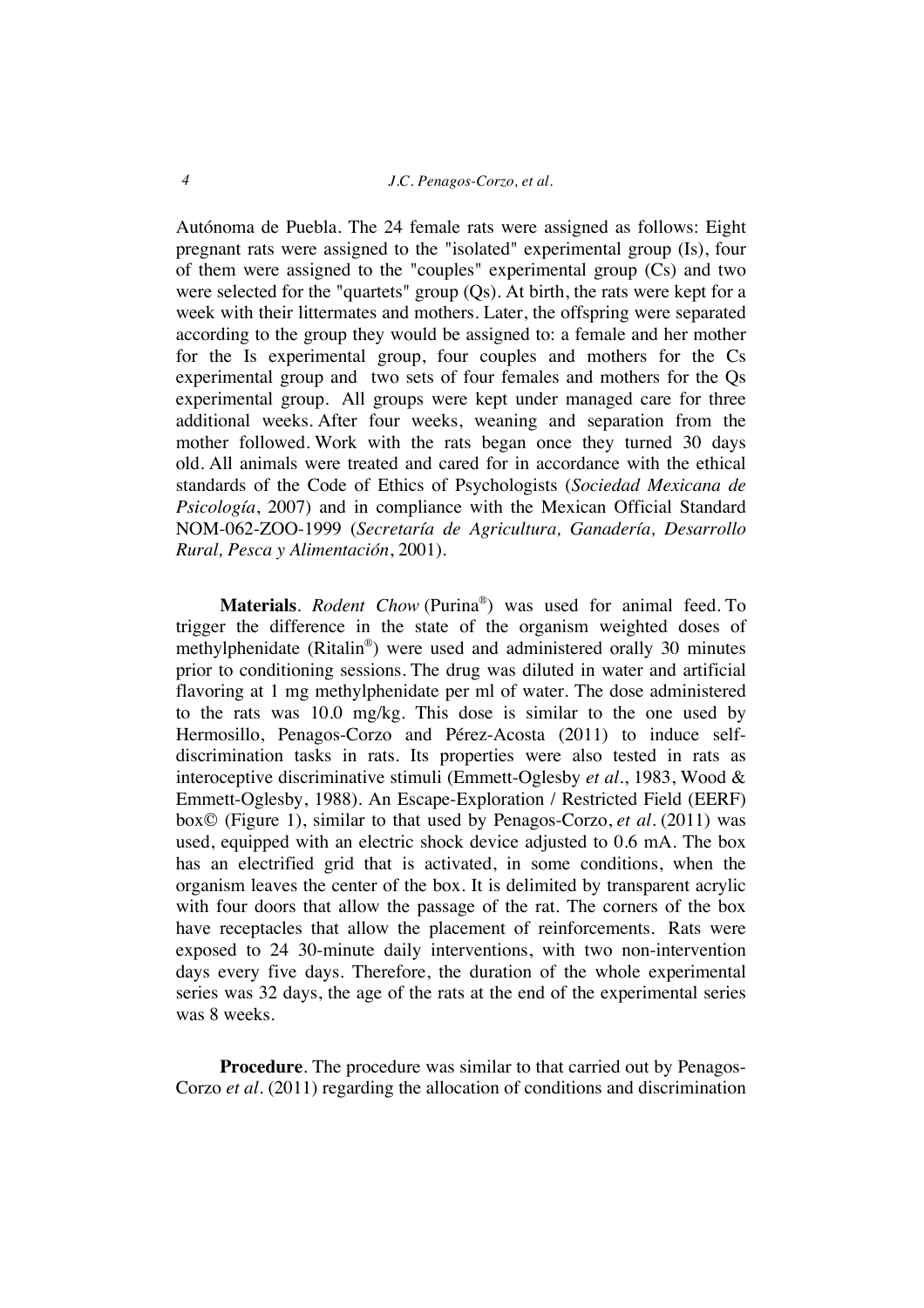#### *4 J.C. Penagos-Corzo, et al.*

Autónoma de Puebla. The 24 female rats were assigned as follows: Eight pregnant rats were assigned to the "isolated" experimental group (Is), four of them were assigned to the "couples" experimental group (Cs) and two were selected for the "quartets" group (Qs). At birth, the rats were kept for a week with their littermates and mothers. Later, the offspring were separated according to the group they would be assigned to: a female and her mother for the Is experimental group, four couples and mothers for the Cs experimental group and two sets of four females and mothers for the Qs experimental group. All groups were kept under managed care for three additional weeks. After four weeks, weaning and separation from the mother followed. Work with the rats began once they turned 30 days old. All animals were treated and cared for in accordance with the ethical standards of the Code of Ethics of Psychologists (*Sociedad Mexicana de Psicología*, 2007) and in compliance with the Mexican Official Standard NOM-062-ZOO-1999 (*Secretaría de Agricultura, Ganadería, Desarrollo Rural, Pesca y Alimentación*, 2001).

**Materials**. *Rodent Chow* (Purina®) was used for animal feed. To trigger the difference in the state of the organism weighted doses of methylphenidate (Ritalin®) were used and administered orally 30 minutes prior to conditioning sessions. The drug was diluted in water and artificial flavoring at 1 mg methylphenidate per ml of water. The dose administered to the rats was 10.0 mg/kg. This dose is similar to the one used by Hermosillo, Penagos-Corzo and Pérez-Acosta (2011) to induce selfdiscrimination tasks in rats. Its properties were also tested in rats as interoceptive discriminative stimuli (Emmett-Oglesby *et al*., 1983, Wood & Emmett-Oglesby, 1988). An Escape-Exploration / Restricted Field (EERF) box© (Figure 1), similar to that used by Penagos-Corzo, *et al*. (2011) was used, equipped with an electric shock device adjusted to 0.6 mA. The box has an electrified grid that is activated, in some conditions, when the organism leaves the center of the box. It is delimited by transparent acrylic with four doors that allow the passage of the rat. The corners of the box have receptacles that allow the placement of reinforcements. Rats were exposed to 24 30-minute daily interventions, with two non-intervention days every five days. Therefore, the duration of the whole experimental series was 32 days, the age of the rats at the end of the experimental series was 8 weeks.

**Procedure**. The procedure was similar to that carried out by Penagos-Corzo *et al.* (2011) regarding the allocation of conditions and discrimination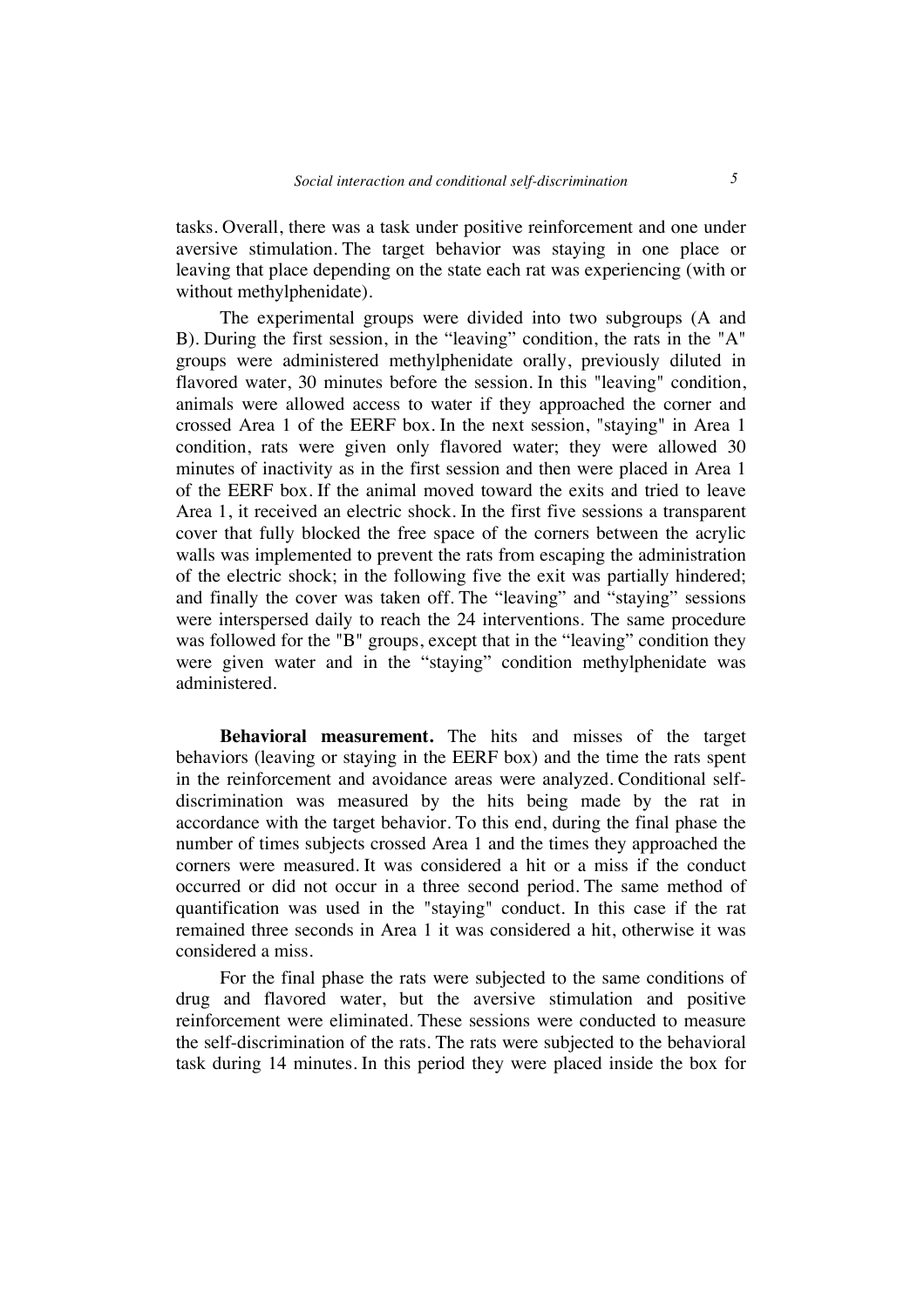tasks. Overall, there was a task under positive reinforcement and one under aversive stimulation. The target behavior was staying in one place or leaving that place depending on the state each rat was experiencing (with or without methylphenidate).

The experimental groups were divided into two subgroups (A and B). During the first session, in the "leaving" condition, the rats in the "A" groups were administered methylphenidate orally, previously diluted in flavored water, 30 minutes before the session. In this "leaving" condition, animals were allowed access to water if they approached the corner and crossed Area 1 of the EERF box. In the next session, "staying" in Area 1 condition, rats were given only flavored water; they were allowed 30 minutes of inactivity as in the first session and then were placed in Area 1 of the EERF box. If the animal moved toward the exits and tried to leave Area 1, it received an electric shock. In the first five sessions a transparent cover that fully blocked the free space of the corners between the acrylic walls was implemented to prevent the rats from escaping the administration of the electric shock; in the following five the exit was partially hindered; and finally the cover was taken off. The "leaving" and "staying" sessions were interspersed daily to reach the 24 interventions. The same procedure was followed for the "B" groups, except that in the "leaving" condition they were given water and in the "staying" condition methylphenidate was administered.

**Behavioral measurement.** The hits and misses of the target behaviors (leaving or staying in the EERF box) and the time the rats spent in the reinforcement and avoidance areas were analyzed. Conditional selfdiscrimination was measured by the hits being made by the rat in accordance with the target behavior. To this end, during the final phase the number of times subjects crossed Area 1 and the times they approached the corners were measured. It was considered a hit or a miss if the conduct occurred or did not occur in a three second period. The same method of quantification was used in the "staying" conduct. In this case if the rat remained three seconds in Area 1 it was considered a hit, otherwise it was considered a miss.

For the final phase the rats were subjected to the same conditions of drug and flavored water, but the aversive stimulation and positive reinforcement were eliminated. These sessions were conducted to measure the self-discrimination of the rats. The rats were subjected to the behavioral task during 14 minutes. In this period they were placed inside the box for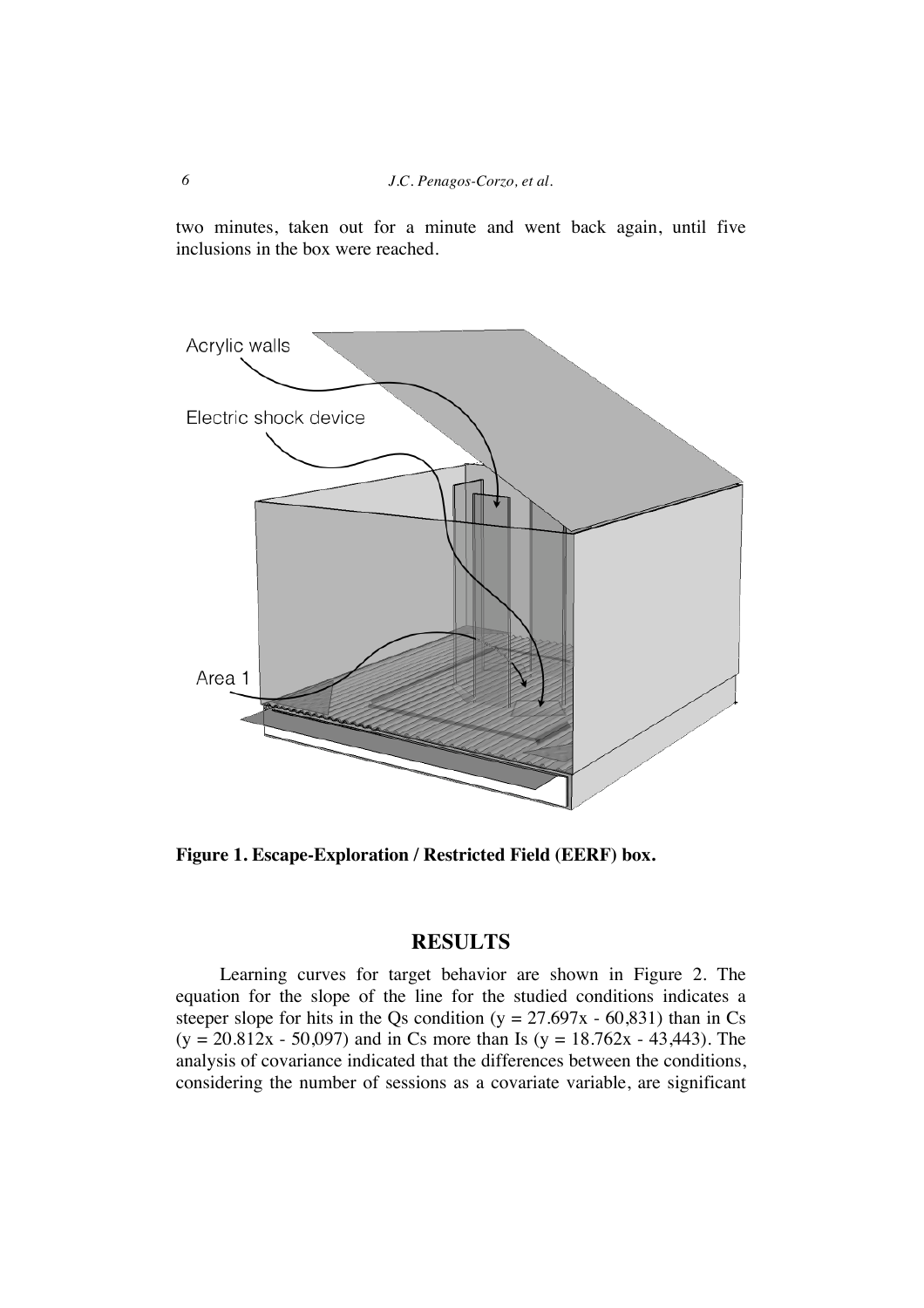two minutes, taken out for a minute and went back again, until five inclusions in the box were reached.



**Figure 1. Escape-Exploration / Restricted Field (EERF) box.** 

## **RESULTS**

Learning curves for target behavior are shown in Figure 2. The equation for the slope of the line for the studied conditions indicates a steeper slope for hits in the Qs condition ( $y = 27.697x - 60.831$ ) than in Cs  $(y = 20.812x - 50,097)$  and in Cs more than Is  $(y = 18.762x - 43,443)$ . The analysis of covariance indicated that the differences between the conditions, considering the number of sessions as a covariate variable, are significant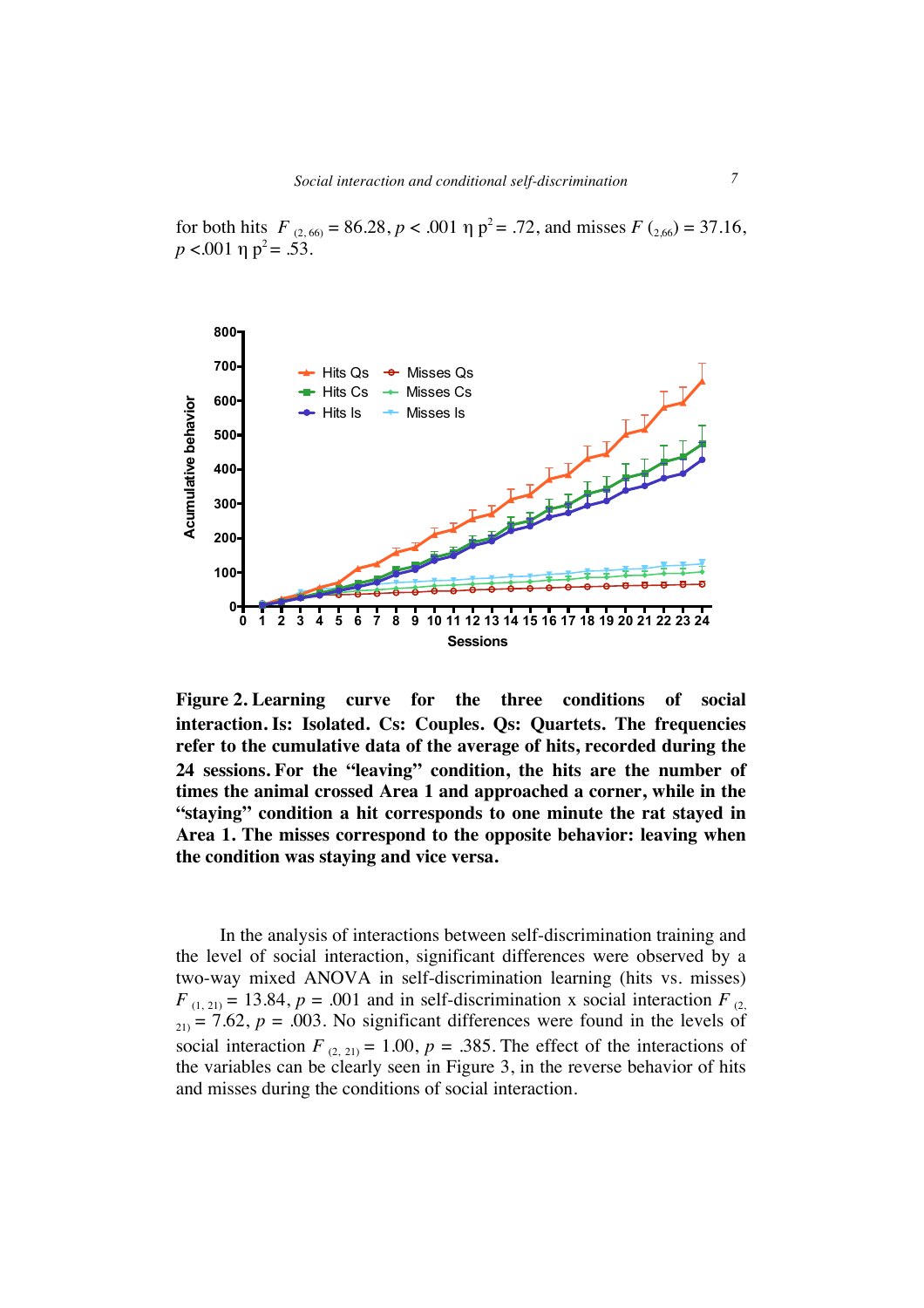for both hits  $F_{(2, 60)} = 86.28$ ,  $p < .001$   $\eta$   $p^2 = .72$ , and misses  $F_{(2, 60)} = 37.16$ ,  $p < .001$  η  $p^2 = .53$ .



**Figure 2. Learning curve for the three conditions of social interaction. Is: Isolated. Cs: Couples. Qs: Quartets. The frequencies refer to the cumulative data of the average of hits, recorded during the 24 sessions. For the "leaving" condition, the hits are the number of times the animal crossed Area 1 and approached a corner, while in the "staying" condition a hit corresponds to one minute the rat stayed in Area 1. The misses correspond to the opposite behavior: leaving when the condition was staying and vice versa.**

In the analysis of interactions between self-discrimination training and the level of social interaction, significant differences were observed by a two-way mixed ANOVA in self-discrimination learning (hits vs. misses)  $F_{(1, 21)} = 13.84$ ,  $p = .001$  and in self-discrimination x social interaction  $F_{(2)}$  $_{21)}$  = 7.62,  $p = .003$ . No significant differences were found in the levels of social interaction  $F_{(2, 21)} = 1.00$ ,  $p = .385$ . The effect of the interactions of the variables can be clearly seen in Figure 3, in the reverse behavior of hits and misses during the conditions of social interaction.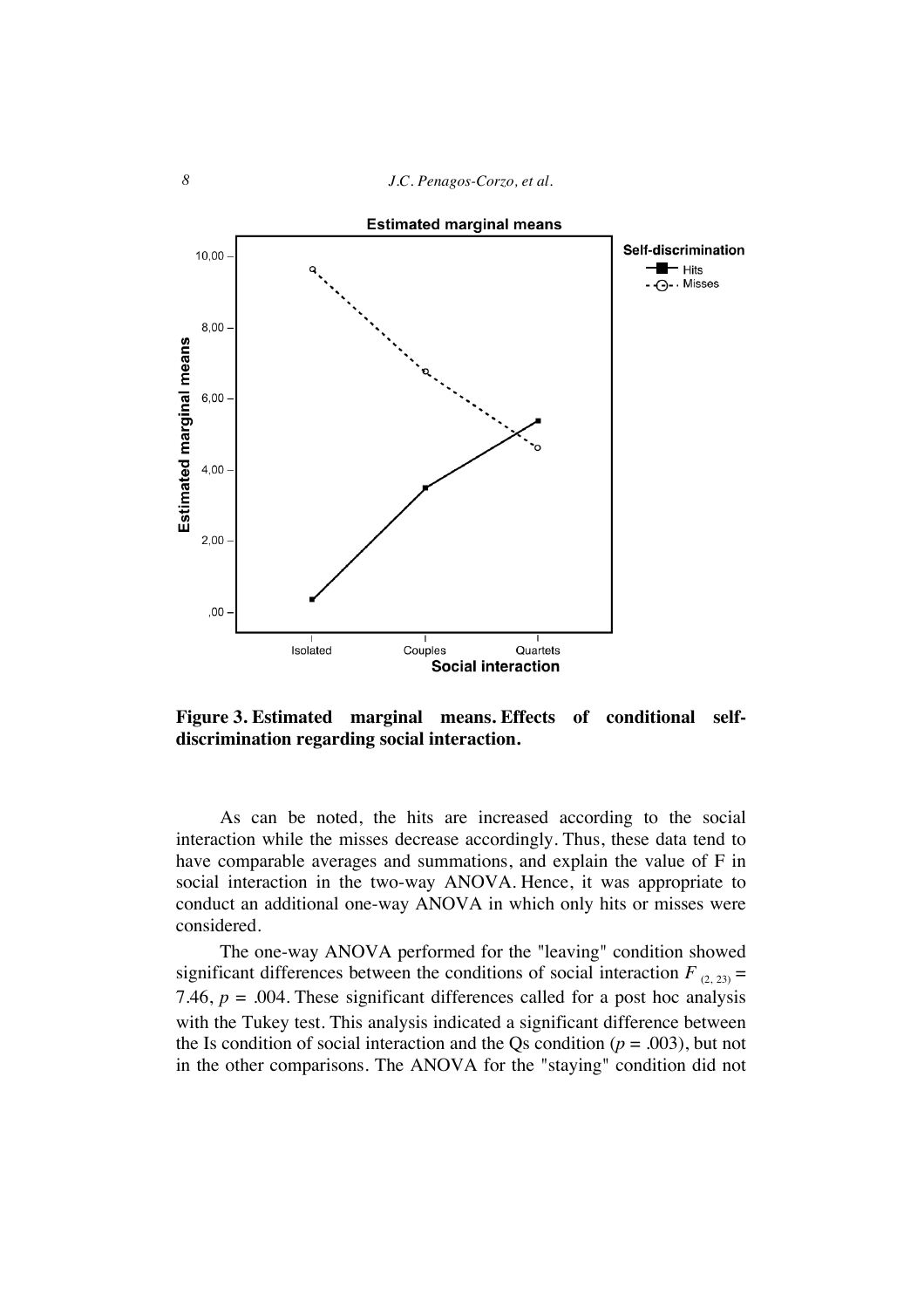

**Figure 3. Estimated marginal means. Effects of conditional selfdiscrimination regarding social interaction.**

As can be noted, the hits are increased according to the social interaction while the misses decrease accordingly. Thus, these data tend to have comparable averages and summations, and explain the value of F in social interaction in the two-way ANOVA. Hence, it was appropriate to conduct an additional one-way ANOVA in which only hits or misses were considered.

The one-way ANOVA performed for the "leaving" condition showed significant differences between the conditions of social interaction  $F_{(2, 23)} =$ 7.46,  $p = .004$ . These significant differences called for a post hoc analysis with the Tukey test. This analysis indicated a significant difference between the Is condition of social interaction and the Qs condition ( $p = .003$ ), but not in the other comparisons. The ANOVA for the "staying" condition did not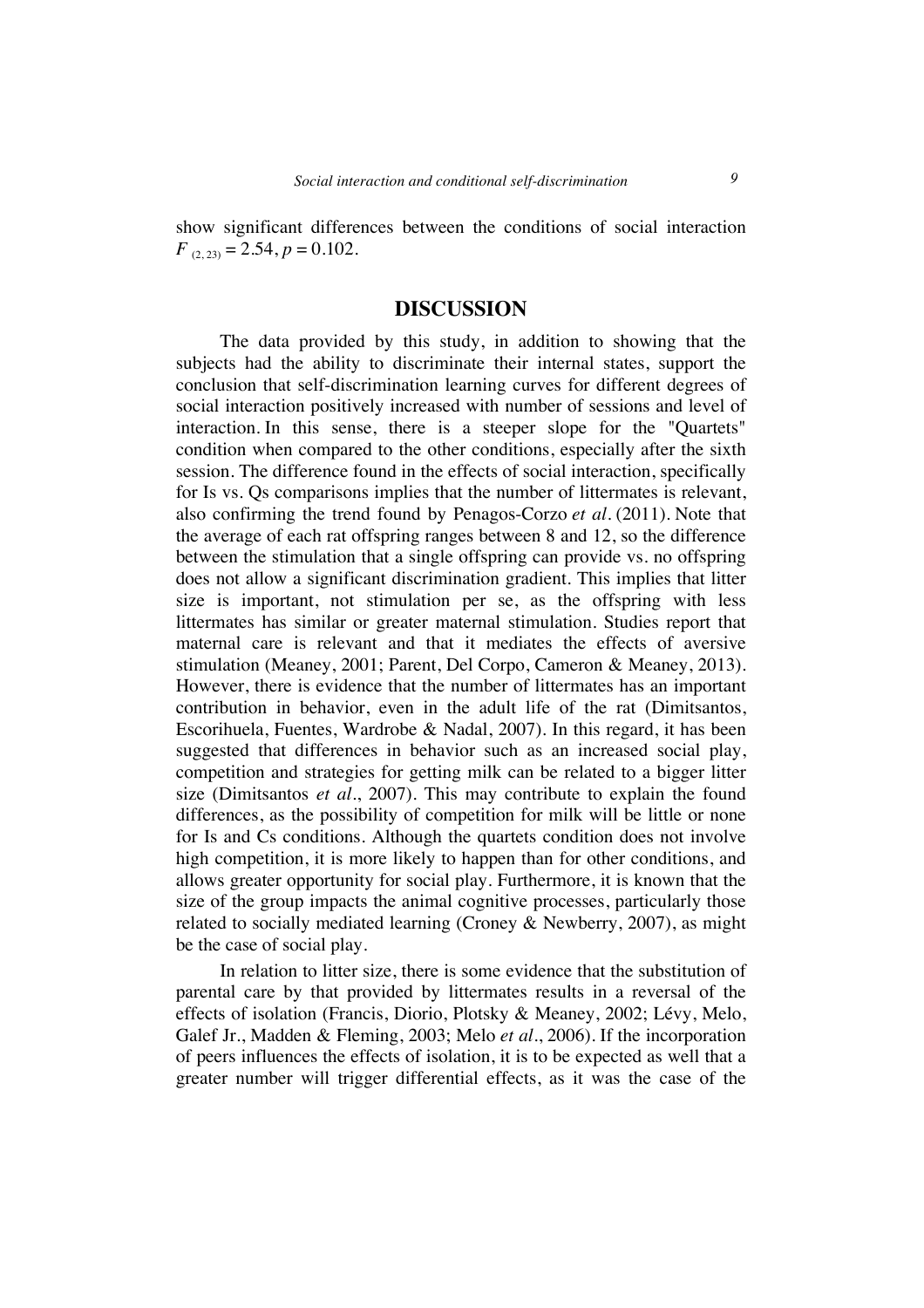show significant differences between the conditions of social interaction  $F_{(2, 23)} = 2.54, p = 0.102.$ 

#### **DISCUSSION**

The data provided by this study, in addition to showing that the subjects had the ability to discriminate their internal states, support the conclusion that self-discrimination learning curves for different degrees of social interaction positively increased with number of sessions and level of interaction. In this sense, there is a steeper slope for the "Quartets" condition when compared to the other conditions, especially after the sixth session. The difference found in the effects of social interaction, specifically for Is vs. Qs comparisons implies that the number of littermates is relevant, also confirming the trend found by Penagos-Corzo *et al.* (2011). Note that the average of each rat offspring ranges between 8 and 12, so the difference between the stimulation that a single offspring can provide vs. no offspring does not allow a significant discrimination gradient. This implies that litter size is important, not stimulation per se, as the offspring with less littermates has similar or greater maternal stimulation. Studies report that maternal care is relevant and that it mediates the effects of aversive stimulation (Meaney, 2001; Parent, Del Corpo, Cameron & Meaney, 2013). However, there is evidence that the number of littermates has an important contribution in behavior, even in the adult life of the rat (Dimitsantos, Escorihuela, Fuentes, Wardrobe & Nadal, 2007). In this regard, it has been suggested that differences in behavior such as an increased social play, competition and strategies for getting milk can be related to a bigger litter size (Dimitsantos *et al*., 2007). This may contribute to explain the found differences, as the possibility of competition for milk will be little or none for Is and Cs conditions. Although the quartets condition does not involve high competition, it is more likely to happen than for other conditions, and allows greater opportunity for social play. Furthermore, it is known that the size of the group impacts the animal cognitive processes, particularly those related to socially mediated learning (Croney & Newberry, 2007), as might be the case of social play.

In relation to litter size, there is some evidence that the substitution of parental care by that provided by littermates results in a reversal of the effects of isolation (Francis, Diorio, Plotsky & Meaney, 2002; Lévy, Melo, Galef Jr., Madden & Fleming, 2003; Melo *et al.*, 2006). If the incorporation of peers influences the effects of isolation, it is to be expected as well that a greater number will trigger differential effects, as it was the case of the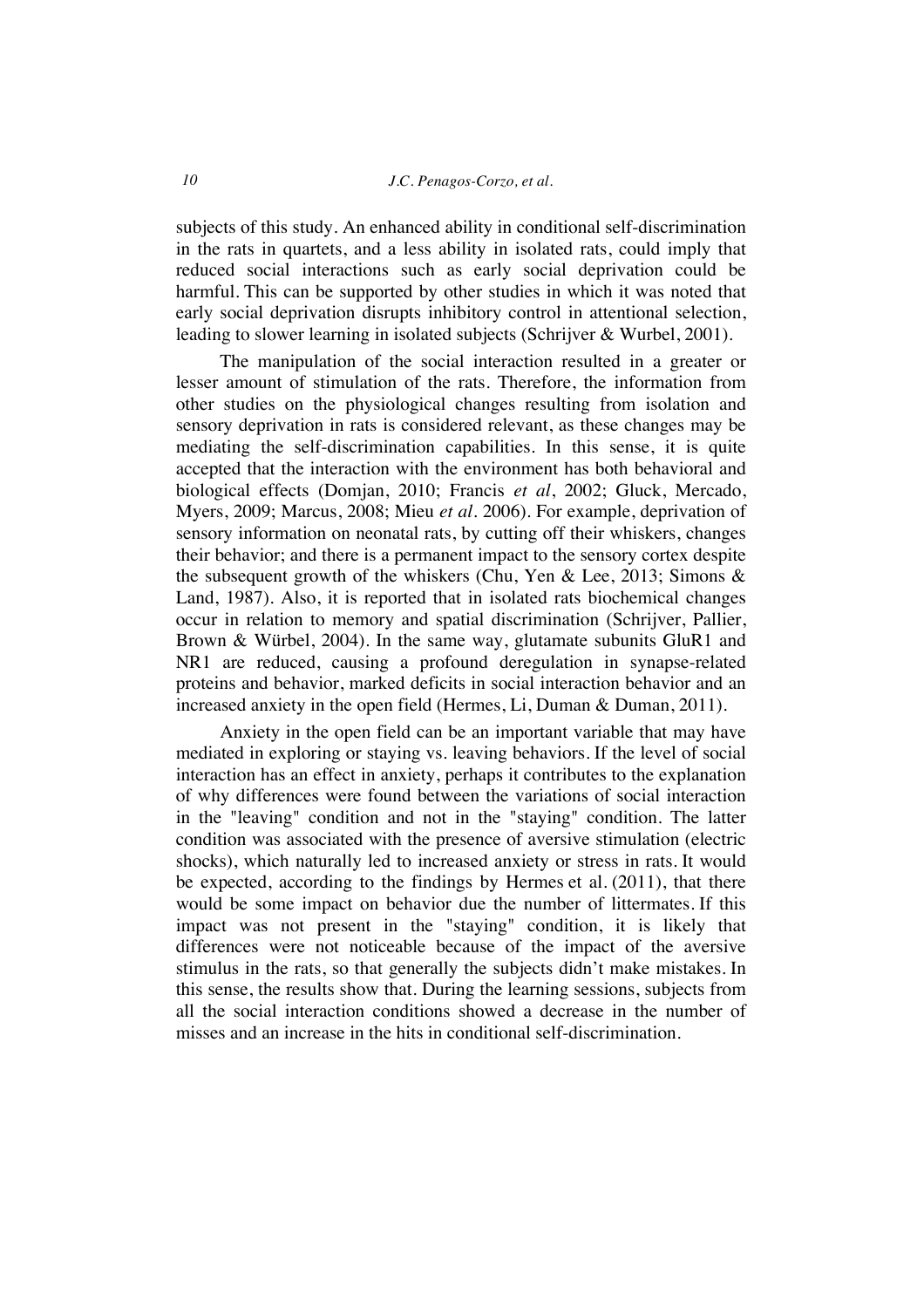subjects of this study. An enhanced ability in conditional self-discrimination in the rats in quartets, and a less ability in isolated rats, could imply that reduced social interactions such as early social deprivation could be harmful. This can be supported by other studies in which it was noted that early social deprivation disrupts inhibitory control in attentional selection, leading to slower learning in isolated subjects (Schrijver & Wurbel, 2001).

The manipulation of the social interaction resulted in a greater or lesser amount of stimulation of the rats. Therefore, the information from other studies on the physiological changes resulting from isolation and sensory deprivation in rats is considered relevant, as these changes may be mediating the self-discrimination capabilities. In this sense, it is quite accepted that the interaction with the environment has both behavioral and biological effects (Domjan, 2010; Francis *et al*, 2002; Gluck, Mercado, Myers, 2009; Marcus, 2008; Mieu *et al.* 2006). For example, deprivation of sensory information on neonatal rats, by cutting off their whiskers, changes their behavior; and there is a permanent impact to the sensory cortex despite the subsequent growth of the whiskers (Chu, Yen & Lee, 2013; Simons & Land, 1987). Also, it is reported that in isolated rats biochemical changes occur in relation to memory and spatial discrimination (Schrijver, Pallier, Brown & Würbel, 2004). In the same way, glutamate subunits GluR1 and NR1 are reduced, causing a profound deregulation in synapse-related proteins and behavior, marked deficits in social interaction behavior and an increased anxiety in the open field (Hermes, Li, Duman & Duman, 2011).

Anxiety in the open field can be an important variable that may have mediated in exploring or staying vs. leaving behaviors. If the level of social interaction has an effect in anxiety, perhaps it contributes to the explanation of why differences were found between the variations of social interaction in the "leaving" condition and not in the "staying" condition. The latter condition was associated with the presence of aversive stimulation (electric shocks), which naturally led to increased anxiety or stress in rats. It would be expected, according to the findings by Hermes et al. (2011), that there would be some impact on behavior due the number of littermates. If this impact was not present in the "staying" condition, it is likely that differences were not noticeable because of the impact of the aversive stimulus in the rats, so that generally the subjects didn't make mistakes. In this sense, the results show that. During the learning sessions, subjects from all the social interaction conditions showed a decrease in the number of misses and an increase in the hits in conditional self-discrimination.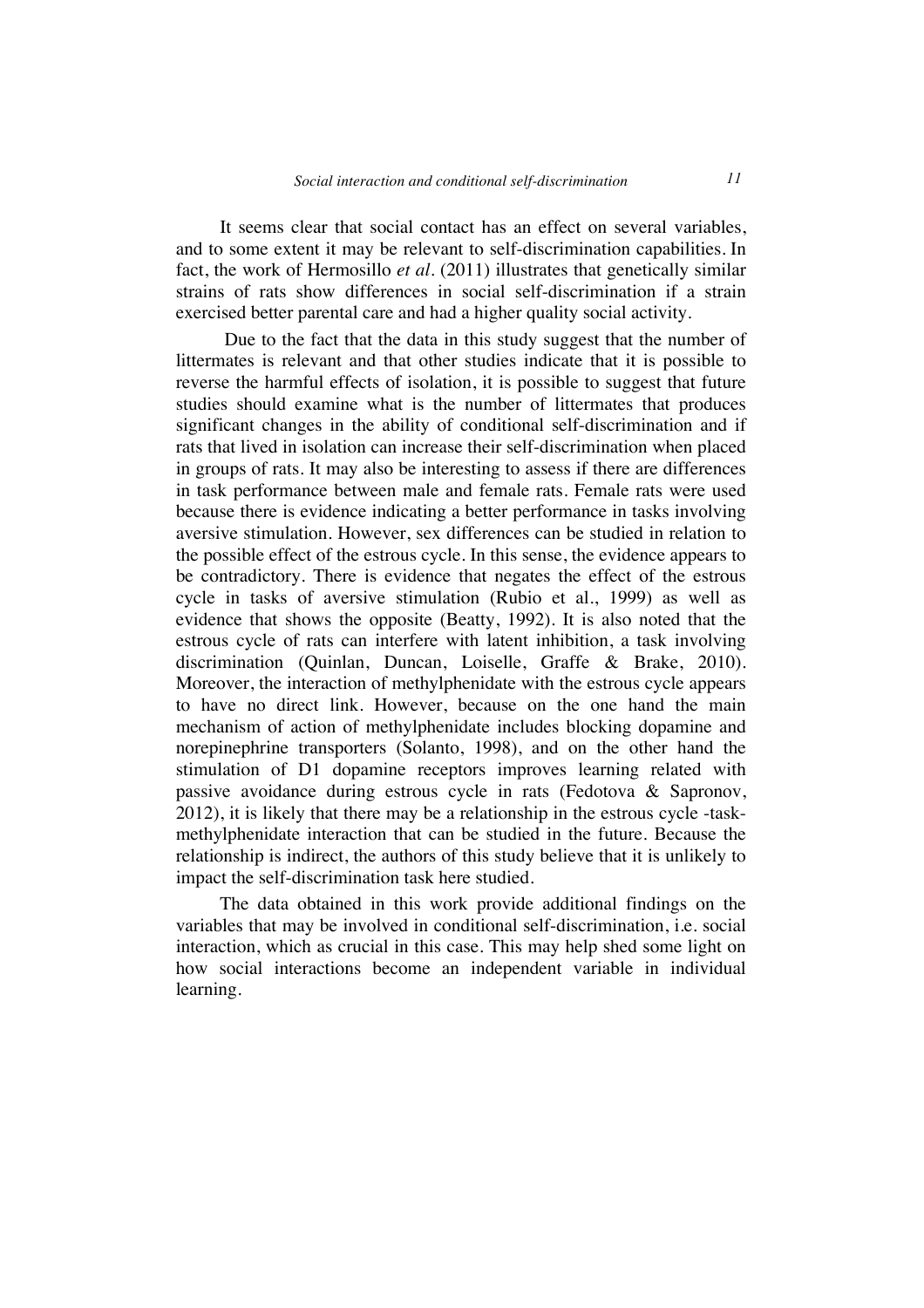It seems clear that social contact has an effect on several variables, and to some extent it may be relevant to self-discrimination capabilities. In fact, the work of Hermosillo *et al*. (2011) illustrates that genetically similar strains of rats show differences in social self-discrimination if a strain exercised better parental care and had a higher quality social activity.

Due to the fact that the data in this study suggest that the number of littermates is relevant and that other studies indicate that it is possible to reverse the harmful effects of isolation, it is possible to suggest that future studies should examine what is the number of littermates that produces significant changes in the ability of conditional self-discrimination and if rats that lived in isolation can increase their self-discrimination when placed in groups of rats. It may also be interesting to assess if there are differences in task performance between male and female rats. Female rats were used because there is evidence indicating a better performance in tasks involving aversive stimulation. However, sex differences can be studied in relation to the possible effect of the estrous cycle. In this sense, the evidence appears to be contradictory. There is evidence that negates the effect of the estrous cycle in tasks of aversive stimulation (Rubio et al., 1999) as well as evidence that shows the opposite (Beatty, 1992). It is also noted that the estrous cycle of rats can interfere with latent inhibition, a task involving discrimination (Quinlan, Duncan, Loiselle, Graffe & Brake, 2010). Moreover, the interaction of methylphenidate with the estrous cycle appears to have no direct link. However, because on the one hand the main mechanism of action of methylphenidate includes blocking dopamine and norepinephrine transporters (Solanto, 1998), and on the other hand the stimulation of D1 dopamine receptors improves learning related with passive avoidance during estrous cycle in rats (Fedotova & Sapronov, 2012), it is likely that there may be a relationship in the estrous cycle -taskmethylphenidate interaction that can be studied in the future. Because the relationship is indirect, the authors of this study believe that it is unlikely to impact the self-discrimination task here studied.

The data obtained in this work provide additional findings on the variables that may be involved in conditional self-discrimination, i.e. social interaction, which as crucial in this case. This may help shed some light on how social interactions become an independent variable in individual learning.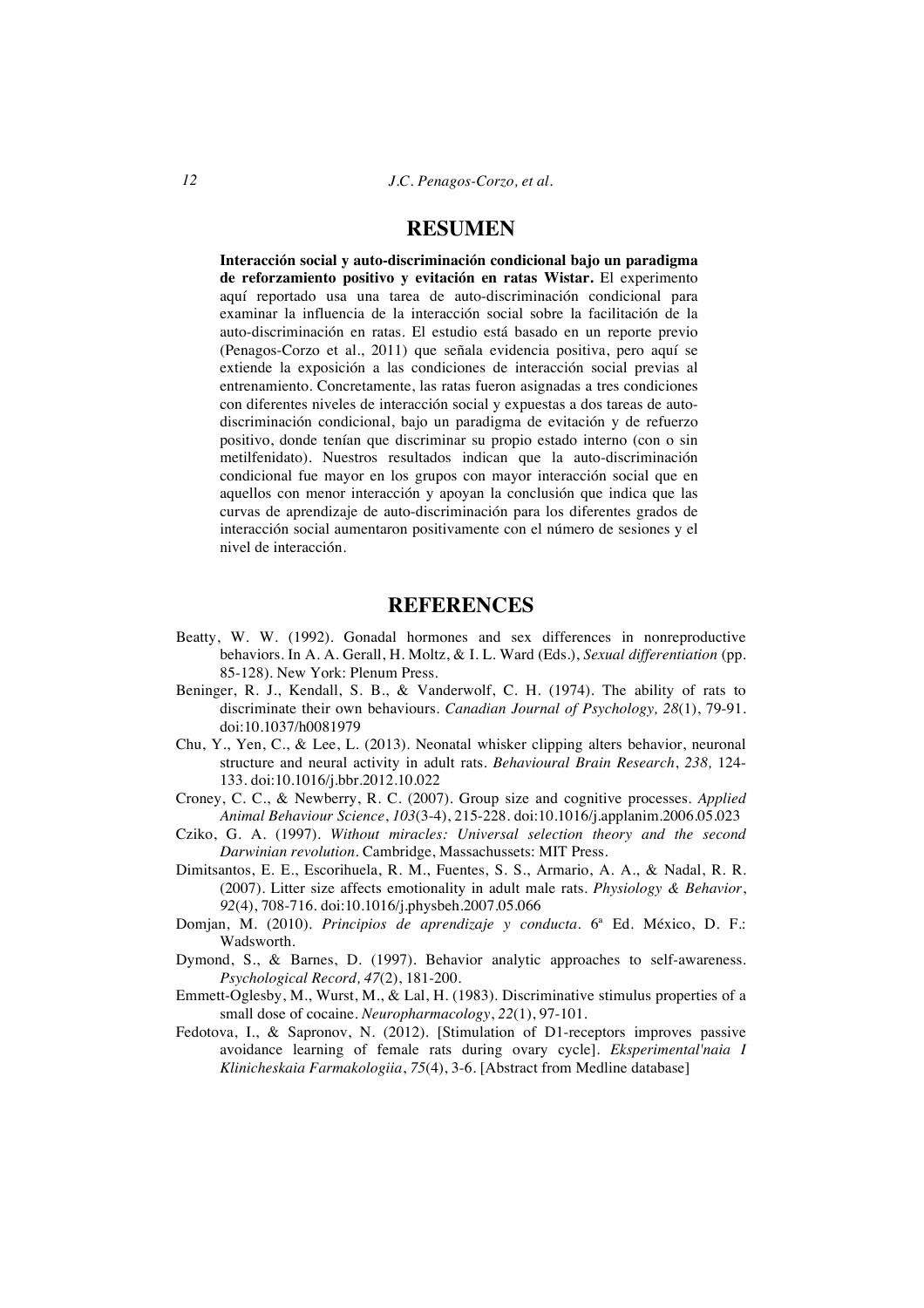## **RESUMEN**

**Interacción social y auto-discriminación condicional bajo un paradigma de reforzamiento positivo y evitación en ratas Wistar.** El experimento aquí reportado usa una tarea de auto-discriminación condicional para examinar la influencia de la interacción social sobre la facilitación de la auto-discriminación en ratas. El estudio está basado en un reporte previo (Penagos-Corzo et al., 2011) que señala evidencia positiva, pero aquí se extiende la exposición a las condiciones de interacción social previas al entrenamiento. Concretamente, las ratas fueron asignadas a tres condiciones con diferentes niveles de interacción social y expuestas a dos tareas de autodiscriminación condicional, bajo un paradigma de evitación y de refuerzo positivo, donde tenían que discriminar su propio estado interno (con o sin metilfenidato). Nuestros resultados indican que la auto-discriminación condicional fue mayor en los grupos con mayor interacción social que en aquellos con menor interacción y apoyan la conclusión que indica que las curvas de aprendizaje de auto-discriminación para los diferentes grados de interacción social aumentaron positivamente con el número de sesiones y el nivel de interacción.

### **REFERENCES**

- Beatty, W. W. (1992). Gonadal hormones and sex differences in nonreproductive behaviors. In A. A. Gerall, H. Moltz, & I. L. Ward (Eds.), *Sexual differentiation* (pp. 85-128). New York: Plenum Press.
- Beninger, R. J., Kendall, S. B., & Vanderwolf, C. H. (1974). The ability of rats to discriminate their own behaviours. *Canadian Journal of Psychology, 28*(1), 79-91. doi:10.1037/h0081979
- Chu, Y., Yen, C., & Lee, L. (2013). Neonatal whisker clipping alters behavior, neuronal structure and neural activity in adult rats. *Behavioural Brain Research*, *238,* 124- 133. doi:10.1016/j.bbr.2012.10.022
- Croney, C. C., & Newberry, R. C. (2007). Group size and cognitive processes. *Applied Animal Behaviour Science*, *103*(3-4), 215-228. doi:10.1016/j.applanim.2006.05.023
- Cziko, G. A. (1997). *Without miracles: Universal selection theory and the second Darwinian revolution*. Cambridge, Massachussets: MIT Press.
- Dimitsantos, E. E., Escorihuela, R. M., Fuentes, S. S., Armario, A. A., & Nadal, R. R. (2007). Litter size affects emotionality in adult male rats. *Physiology & Behavior*, *92*(4), 708-716. doi:10.1016/j.physbeh.2007.05.066
- Domjan, M. (2010). *Principios de aprendizaje y conducta*. 6ª Ed. México, D. F.: Wadsworth.
- Dymond, S., & Barnes, D. (1997). Behavior analytic approaches to self-awareness. *Psychological Record, 47*(2), 181-200.
- Emmett-Oglesby, M., Wurst, M., & Lal, H. (1983). Discriminative stimulus properties of a small dose of cocaine. *Neuropharmacology*, *22*(1), 97-101.
- Fedotova, I., & Sapronov, N. (2012). [Stimulation of D1-receptors improves passive avoidance learning of female rats during ovary cycle]. *Eksperimental'naia I Klinicheskaia Farmakologiia*, *75*(4), 3-6. [Abstract from Medline database]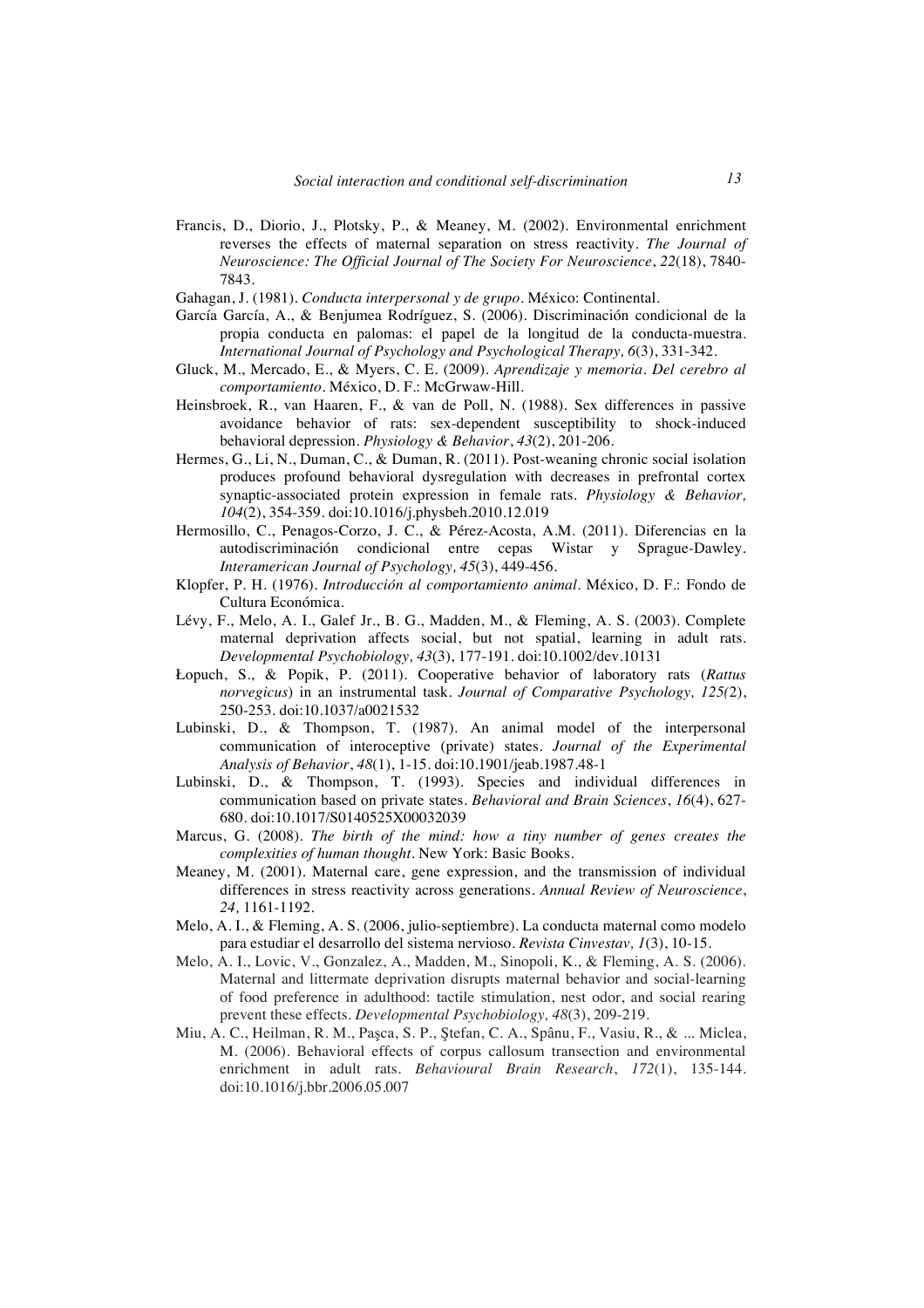- Francis, D., Diorio, J., Plotsky, P., & Meaney, M. (2002). Environmental enrichment reverses the effects of maternal separation on stress reactivity. *The Journal of Neuroscience: The Official Journal of The Society For Neuroscience*, *22*(18), 7840- 7843.
- Gahagan, J. (1981). *Conducta interpersonal y de grupo*. México: Continental.
- García García, A., & Benjumea Rodríguez, S. (2006). Discriminación condicional de la propia conducta en palomas: el papel de la longitud de la conducta-muestra. *International Journal of Psychology and Psychological Therapy, 6*(3), 331-342.
- Gluck, M., Mercado, E., & Myers, C. E. (2009). *Aprendizaje y memoria. Del cerebro al comportamiento*. México, D. F.: McGrwaw-Hill.
- Heinsbroek, R., van Haaren, F., & van de Poll, N. (1988). Sex differences in passive avoidance behavior of rats: sex-dependent susceptibility to shock-induced behavioral depression. *Physiology & Behavior*, *43*(2), 201-206.
- Hermes, G., Li, N., Duman, C., & Duman, R. (2011). Post-weaning chronic social isolation produces profound behavioral dysregulation with decreases in prefrontal cortex synaptic-associated protein expression in female rats. *Physiology & Behavior, 104*(2), 354-359. doi:10.1016/j.physbeh.2010.12.019
- Hermosillo, C., Penagos-Corzo, J. C., & Pérez-Acosta, A.M. (2011). Diferencias en la autodiscriminación condicional entre cepas Wistar y Sprague-Dawley. *Interamerican Journal of Psychology, 45*(3), 449-456.
- Klopfer, P. H. (1976). *Introducción al comportamiento animal*. México, D. F.: Fondo de Cultura Económica.
- Lévy, F., Melo, A. I., Galef Jr., B. G., Madden, M., & Fleming, A. S. (2003). Complete maternal deprivation affects social, but not spatial, learning in adult rats. *Developmental Psychobiology, 43*(3), 177-191. doi:10.1002/dev.10131
- Łopuch, S., & Popik, P. (2011). Cooperative behavior of laboratory rats (*Rattus norvegicus*) in an instrumental task. *Journal of Comparative Psychology, 125(*2), 250-253. doi:10.1037/a0021532
- Lubinski, D., & Thompson, T. (1987). An animal model of the interpersonal communication of interoceptive (private) states. *Journal of the Experimental Analysis of Behavior*, *48*(1), 1-15. doi:10.1901/jeab.1987.48-1
- Lubinski, D., & Thompson, T. (1993). Species and individual differences in communication based on private states. *Behavioral and Brain Sciences*, *16*(4), 627- 680. doi:10.1017/S0140525X00032039
- Marcus, G. (2008). *The birth of the mind: how a tiny number of genes creates the complexities of human thought.* New York: Basic Books.
- Meaney, M. (2001). Maternal care, gene expression, and the transmission of individual differences in stress reactivity across generations. *Annual Review of Neuroscience*, *24,* 1161-1192.
- Melo, A. I., & Fleming, A. S. (2006, julio-septiembre). La conducta maternal como modelo para estudiar el desarrollo del sistema nervioso. *Revista Cinvestav, 1*(3), 10-15.
- Melo, A. I., Lovic, V., Gonzalez, A., Madden, M., Sinopoli, K., & Fleming, A. S. (2006). Maternal and littermate deprivation disrupts maternal behavior and social-learning of food preference in adulthood: tactile stimulation, nest odor, and social rearing prevent these effects. *Developmental Psychobiology, 48*(3), 209-219.
- Miu, A. C., Heilman, R. M., Paşca, S. P., Ştefan, C. A., Spânu, F., Vasiu, R., & ... Miclea, M. (2006). Behavioral effects of corpus callosum transection and environmental enrichment in adult rats. *Behavioural Brain Research*, *172*(1), 135-144. doi:10.1016/j.bbr.2006.05.007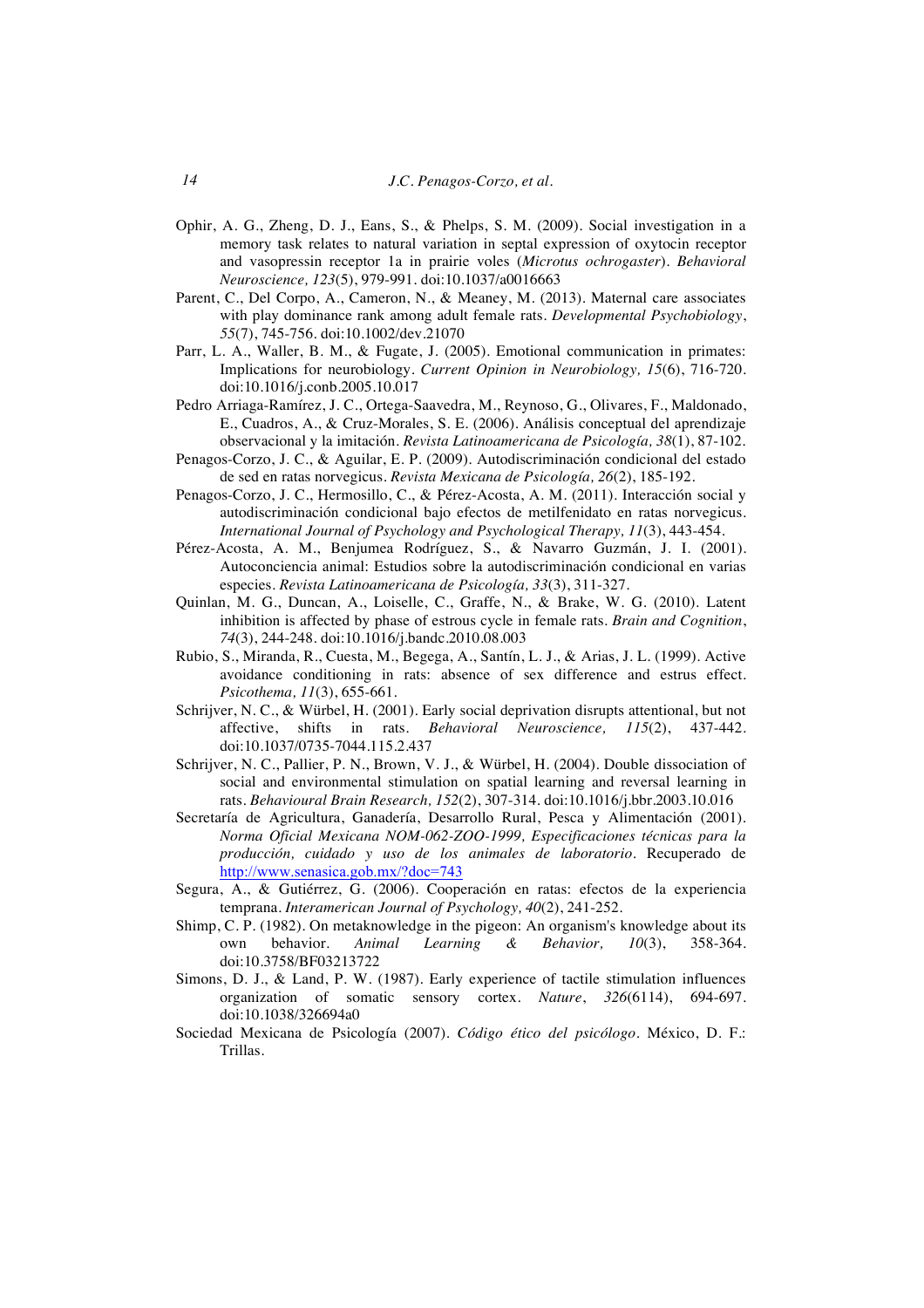- Ophir, A. G., Zheng, D. J., Eans, S., & Phelps, S. M. (2009). Social investigation in a memory task relates to natural variation in septal expression of oxytocin receptor and vasopressin receptor 1a in prairie voles (*Microtus ochrogaster*). *Behavioral Neuroscience, 123*(5), 979-991. doi:10.1037/a0016663
- Parent, C., Del Corpo, A., Cameron, N., & Meaney, M. (2013). Maternal care associates with play dominance rank among adult female rats. *Developmental Psychobiology*, *55*(7), 745-756. doi:10.1002/dev.21070
- Parr, L. A., Waller, B. M., & Fugate, J. (2005). Emotional communication in primates: Implications for neurobiology. *Current Opinion in Neurobiology, 15*(6), 716-720. doi:10.1016/j.conb.2005.10.017
- Pedro Arriaga-Ramírez, J. C., Ortega-Saavedra, M., Reynoso, G., Olivares, F., Maldonado, E., Cuadros, A., & Cruz-Morales, S. E. (2006). Análisis conceptual del aprendizaje observacional y la imitación. *Revista Latinoamericana de Psicología, 38*(1), 87-102.
- Penagos-Corzo, J. C., & Aguilar, E. P. (2009). Autodiscriminación condicional del estado de sed en ratas norvegicus. *Revista Mexicana de Psicología, 26*(2), 185-192.
- Penagos-Corzo, J. C., Hermosillo, C., & Pérez-Acosta, A. M. (2011). Interacción social y autodiscriminación condicional bajo efectos de metilfenidato en ratas norvegicus. *International Journal of Psychology and Psychological Therapy, 11*(3), 443-454.
- Pérez-Acosta, A. M., Benjumea Rodríguez, S., & Navarro Guzmán, J. I. (2001). Autoconciencia animal: Estudios sobre la autodiscriminación condicional en varias especies. *Revista Latinoamericana de Psicología, 33*(3), 311-327.
- Quinlan, M. G., Duncan, A., Loiselle, C., Graffe, N., & Brake, W. G. (2010). Latent inhibition is affected by phase of estrous cycle in female rats. *Brain and Cognition*, *74*(3), 244-248. doi:10.1016/j.bandc.2010.08.003
- Rubio, S., Miranda, R., Cuesta, M., Begega, A., Santín, L. J., & Arias, J. L. (1999). Active avoidance conditioning in rats: absence of sex difference and estrus effect. *Psicothema, 11*(3), 655-661.
- Schrijver, N. C., & Würbel, H. (2001). Early social deprivation disrupts attentional, but not affective, shifts in rats. *Behavioral Neuroscience, 115*(2), 437-442. doi:10.1037/0735-7044.115.2.437
- Schrijver, N. C., Pallier, P. N., Brown, V. J., & Würbel, H. (2004). Double dissociation of social and environmental stimulation on spatial learning and reversal learning in rats. *Behavioural Brain Research, 152*(2), 307-314. doi:10.1016/j.bbr.2003.10.016
- Secretaría de Agricultura, Ganadería, Desarrollo Rural, Pesca y Alimentación (2001). *Norma Oficial Mexicana NOM-062-ZOO-1999, Especificaciones técnicas para la producción, cuidado y uso de los animales de laboratorio*. Recuperado de http://www.senasica.gob.mx/?doc=743
- Segura, A., & Gutiérrez, G. (2006). Cooperación en ratas: efectos de la experiencia temprana. *Interamerican Journal of Psychology, 40*(2), 241-252.
- Shimp, C. P. (1982). On metaknowledge in the pigeon: An organism's knowledge about its<br>www.pehavior. Animal Learning & Behavior. 10(3). 358-364. own behavior. *Animal Learning & Behavior, 10*(3), 358-364. doi:10.3758/BF03213722
- Simons, D. J., & Land, P. W. (1987). Early experience of tactile stimulation influences organization of somatic sensory cortex. *Nature*, *326*(6114), 694-697. doi:10.1038/326694a0
- Sociedad Mexicana de Psicología (2007). *Código ético del psicólogo*. México, D. F.: Trillas.